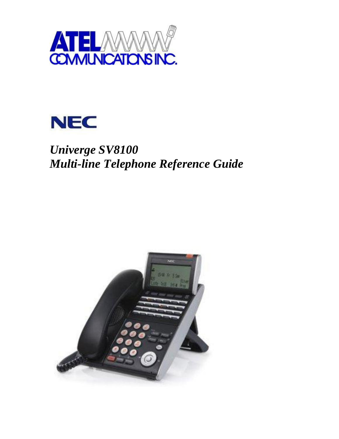



# *Univerge SV8100 Multi-line Telephone Reference Guide*

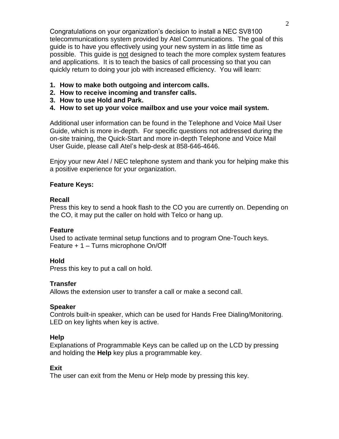Congratulations on your organization's decision to install a NEC SV8100 telecommunications system provided by Atel Communications. The goal of this guide is to have you effectively using your new system in as little time as possible. This guide is not designed to teach the more complex system features and applications. It is to teach the basics of call processing so that you can quickly return to doing your job with increased efficiency. You will learn:

- **1. How to make both outgoing and intercom calls.**
- **2. How to receive incoming and transfer calls.**
- **3. How to use Hold and Park.**
- **4. How to set up your voice mailbox and use your voice mail system.**

Additional user information can be found in the Telephone and Voice Mail User Guide, which is more in-depth. For specific questions not addressed during the on-site training, the Quick-Start and more in-depth Telephone and Voice Mail User Guide, please call Atel's help-desk at 858-646-4646.

Enjoy your new Atel / NEC telephone system and thank you for helping make this a positive experience for your organization.

# **Feature Keys:**

## **Recall**

Press this key to send a hook flash to the CO you are currently on. Depending on the CO, it may put the caller on hold with Telco or hang up.

## **Feature**

Used to activate terminal setup functions and to program One-Touch keys. Feature + 1 – Turns microphone On/Off

# **Hold**

Press this key to put a call on hold.

# **Transfer**

Allows the extension user to transfer a call or make a second call.

## **Speaker**

Controls built-in speaker, which can be used for Hands Free Dialing/Monitoring. LED on key lights when key is active.

# **Help**

Explanations of Programmable Keys can be called up on the LCD by pressing and holding the **Help** key plus a programmable key.

# **Exit**

The user can exit from the Menu or Help mode by pressing this key.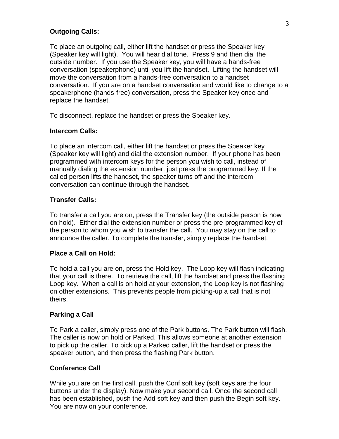#### **Outgoing Calls:**

To place an outgoing call, either lift the handset or press the Speaker key (Speaker key will light). You will hear dial tone. Press 9 and then dial the outside number. If you use the Speaker key, you will have a hands-free conversation (speakerphone) until you lift the handset. Lifting the handset will move the conversation from a hands-free conversation to a handset conversation. If you are on a handset conversation and would like to change to a speakerphone (hands-free) conversation, press the Speaker key once and replace the handset.

To disconnect, replace the handset or press the Speaker key.

#### **Intercom Calls:**

To place an intercom call, either lift the handset or press the Speaker key (Speaker key will light) and dial the extension number. If your phone has been programmed with intercom keys for the person you wish to call, instead of manually dialing the extension number, just press the programmed key. If the called person lifts the handset, the speaker turns off and the intercom conversation can continue through the handset.

## **Transfer Calls:**

To transfer a call you are on, press the Transfer key (the outside person is now on hold). Either dial the extension number or press the pre-programmed key of the person to whom you wish to transfer the call. You may stay on the call to announce the caller. To complete the transfer, simply replace the handset.

#### **Place a Call on Hold:**

To hold a call you are on, press the Hold key. The Loop key will flash indicating that your call is there. To retrieve the call, lift the handset and press the flashing Loop key. When a call is on hold at your extension, the Loop key is not flashing on other extensions. This prevents people from picking-up a call that is not theirs.

#### **Parking a Call**

To Park a caller, simply press one of the Park buttons. The Park button will flash. The caller is now on hold or Parked. This allows someone at another extension to pick up the caller. To pick up a Parked caller, lift the handset or press the speaker button, and then press the flashing Park button.

#### **Conference Call**

While you are on the first call, push the Conf soft key (soft keys are the four buttons under the display). Now make your second call. Once the second call has been established, push the Add soft key and then push the Begin soft key. You are now on your conference.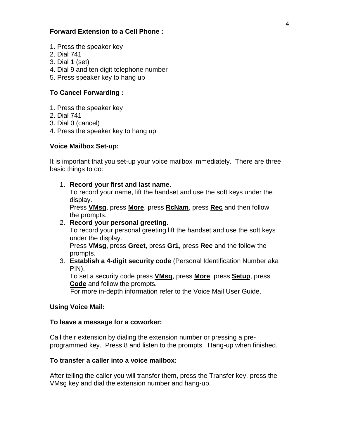## **Forward Extension to a Cell Phone :**

- 1. Press the speaker key
- 2. Dial 741
- 3. Dial 1 (set)
- 4. Dial 9 and ten digit telephone number
- 5. Press speaker key to hang up

## **To Cancel Forwarding :**

- 1. Press the speaker key
- 2. Dial 741
- 3. Dial 0 (cancel)
- 4. Press the speaker key to hang up

### **Voice Mailbox Set-up:**

It is important that you set-up your voice mailbox immediately. There are three basic things to do:

1. **Record your first and last name**.

To record your name, lift the handset and use the soft keys under the display.

Press **VMsg**, press **More**, press **RcNam**, press **Rec** and then follow the prompts.

#### 2. **Record your personal greeting**.

To record your personal greeting lift the handset and use the soft keys under the display.

Press **VMsg**, press **Greet**, press **Gr1**, press **Rec** and the follow the prompts.

3. **Establish a 4-digit security code** (Personal Identification Number aka PIN).

To set a security code press **VMsg**, press **More**, press **Setup**, press **Code** and follow the prompts.

For more in-depth information refer to the Voice Mail User Guide.

#### **Using Voice Mail:**

#### **To leave a message for a coworker:**

Call their extension by dialing the extension number or pressing a preprogrammed key. Press 8 and listen to the prompts. Hang-up when finished.

#### **To transfer a caller into a voice mailbox:**

After telling the caller you will transfer them, press the Transfer key, press the VMsg key and dial the extension number and hang-up.